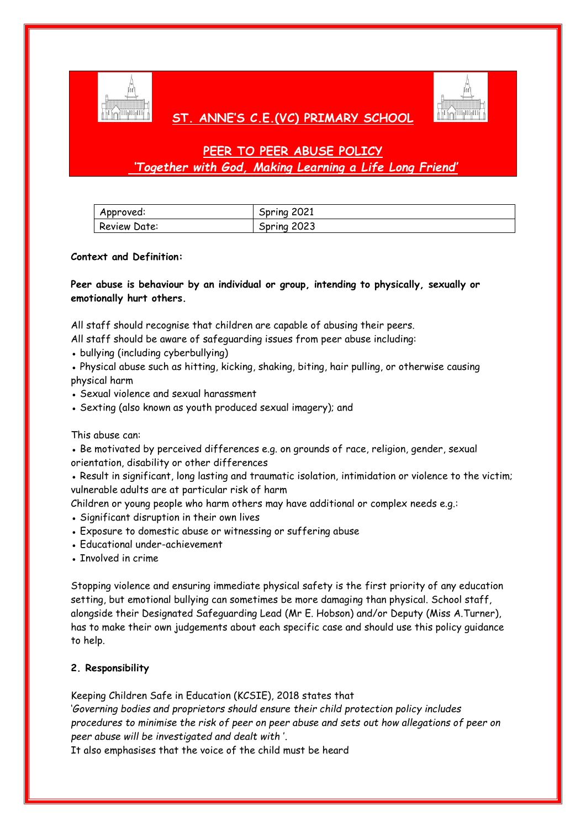

## **ST. ANNE'S C.E.(VC) PRIMARY SCHOOL**



# **PEER TO PEER ABUSE POLICY** *'Together with God, Making Learning a Life Long Friend'*

| Approved:    | Spring 2021 |
|--------------|-------------|
| Review Date: | Spring 2023 |

## **Context and Definition:**

**Peer abuse is behaviour by an individual or group, intending to physically, sexually or emotionally hurt others.**

All staff should recognise that children are capable of abusing their peers.

- All staff should be aware of safeguarding issues from peer abuse including:
- bullying (including cyberbullying)

• Physical abuse such as hitting, kicking, shaking, biting, hair pulling, or otherwise causing physical harm

- Sexual violence and sexual harassment
- Sexting (also known as youth produced sexual imagery); and

This abuse can:

• Be motivated by perceived differences e.g. on grounds of race, religion, gender, sexual orientation, disability or other differences

• Result in significant, long lasting and traumatic isolation, intimidation or violence to the victim; vulnerable adults are at particular risk of harm

Children or young people who harm others may have additional or complex needs e.g.:

- Significant disruption in their own lives
- Exposure to domestic abuse or witnessing or suffering abuse
- Educational under-achievement
- Involved in crime

Stopping violence and ensuring immediate physical safety is the first priority of any education setting, but emotional bullying can sometimes be more damaging than physical. School staff, alongside their Designated Safeguarding Lead (Mr E. Hobson) and/or Deputy (Miss A.Turner), has to make their own judgements about each specific case and should use this policy guidance to help.

## **2. Responsibility**

Keeping Children Safe in Education (KCSIE), 2018 states that

'*Governing bodies and proprietors should ensure their child protection policy includes procedures to minimise the risk of peer on peer abuse and sets out how allegations of peer on peer abuse will be investigated and dealt with* '.

It also emphasises that the voice of the child must be heard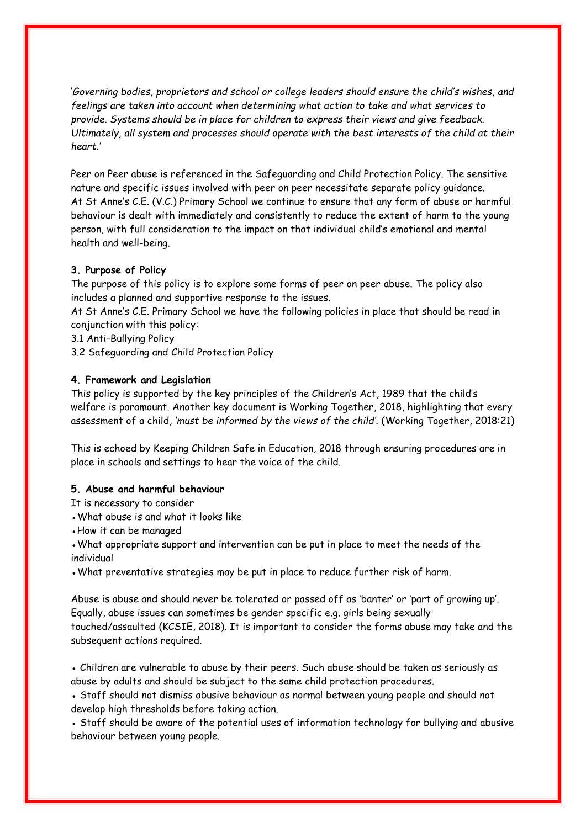'*Governing bodies, proprietors and school or college leaders should ensure the child's wishes, and feelings are taken into account when determining what action to take and what services to provide. Systems should be in place for children to express their views and give feedback. Ultimately, all system and processes should operate with the best interests of the child at their heart.'*

Peer on Peer abuse is referenced in the Safeguarding and Child Protection Policy. The sensitive nature and specific issues involved with peer on peer necessitate separate policy guidance. At St Anne's C.E. (V.C.) Primary School we continue to ensure that any form of abuse or harmful behaviour is dealt with immediately and consistently to reduce the extent of harm to the young person, with full consideration to the impact on that individual child's emotional and mental health and well-being.

## **3. Purpose of Policy**

The purpose of this policy is to explore some forms of peer on peer abuse. The policy also includes a planned and supportive response to the issues.

At St Anne's C.E. Primary School we have the following policies in place that should be read in conjunction with this policy:

- 3.1 Anti-Bullying Policy
- 3.2 Safeguarding and Child Protection Policy

## **4. Framework and Legislation**

This policy is supported by the key principles of the Children's Act, 1989 that the child's welfare is paramount. Another key document is Working Together, 2018, highlighting that every assessment of a child, *'must be informed by the views of the child'.* (Working Together, 2018:21)

This is echoed by Keeping Children Safe in Education, 2018 through ensuring procedures are in place in schools and settings to hear the voice of the child.

## **5. Abuse and harmful behaviour**

- It is necessary to consider
- What abuse is and what it looks like
- How it can be managed

• What appropriate support and intervention can be put in place to meet the needs of the individual

• What preventative strategies may be put in place to reduce further risk of harm.

Abuse is abuse and should never be tolerated or passed off as 'banter' or 'part of growing up'. Equally, abuse issues can sometimes be gender specific e.g. girls being sexually touched/assaulted (KCSIE, 2018). It is important to consider the forms abuse may take and the subsequent actions required.

• Children are vulnerable to abuse by their peers. Such abuse should be taken as seriously as abuse by adults and should be subject to the same child protection procedures.

• Staff should not dismiss abusive behaviour as normal between young people and should not develop high thresholds before taking action.

• Staff should be aware of the potential uses of information technology for bullying and abusive behaviour between young people.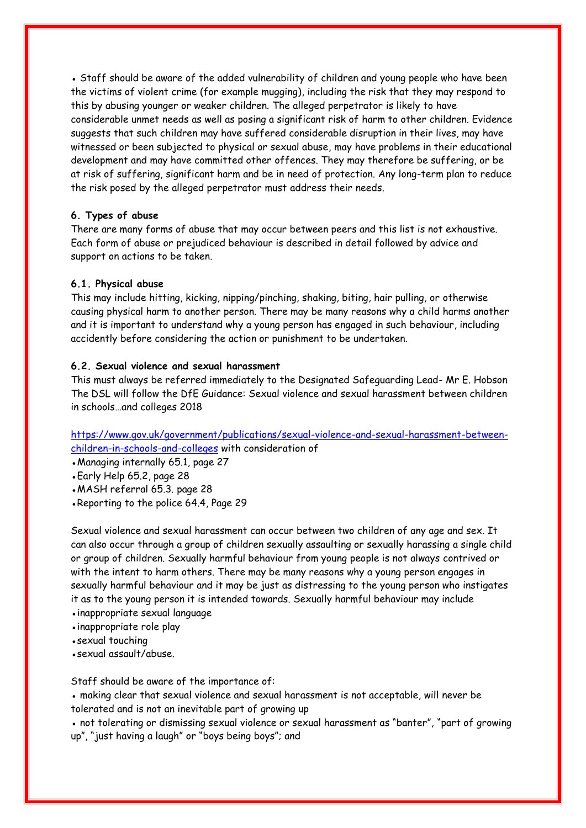• Staff should be aware of the added vulnerability of children and young people who have been the victims of violent crime (for example mugging), including the risk that they may respond to this by abusing younger or weaker children. The alleged perpetrator is likely to have considerable unmet needs as well as posing a significant risk of harm to other children. Evidence suggests that such children may have suffered considerable disruption in their lives, may have witnessed or been subjected to physical or sexual abuse, may have problems in their educational development and may have committed other offences. They may therefore be suffering, or be at risk of suffering, significant harm and be in need of protection. Any long-term plan to reduce the risk posed by the alleged perpetrator must address their needs.

## **6. Types of abuse**

There are many forms of abuse that may occur between peers and this list is not exhaustive. Each form of abuse or prejudiced behaviour is described in detail followed by advice and support on actions to be taken.

#### **6.1. Physical abuse**

This may include hitting, kicking, nipping/pinching, shaking, biting, hair pulling, or otherwise causing physical harm to another person. There may be many reasons why a child harms another and it is important to understand why a young person has engaged in such behaviour, including accidently before considering the action or punishment to be undertaken.

#### **6.2. Sexual violence and sexual harassment**

This must always be referred immediately to the Designated Safeguarding Lead- Mr E. Hobson The DSL will follow the DfE Guidance: Sexual violence and sexual harassment between children in schools…and colleges 2018

[https://www.gov.uk/government/publications/sexual-violence-and-sexual-harassment-between](https://www.gov.uk/government/publications/sexual-violence-and-sexual-harassment-between-children-in-schools-and-colleges)[children-in-schools-and-colleges](https://www.gov.uk/government/publications/sexual-violence-and-sexual-harassment-between-children-in-schools-and-colleges) with consideration of

• Managing internally 65.1, page 27

●Early Help 65.2, page 28

• MASH referral 65.3. page 28

•Reporting to the police 64.4, Page 29

Sexual violence and sexual harassment can occur between two children of any age and sex. It can also occur through a group of children sexually assaulting or sexually harassing a single child or group of children. Sexually harmful behaviour from young people is not always contrived or with the intent to harm others. There may be many reasons why a young person engages in sexually harmful behaviour and it may be just as distressing to the young person who instigates it as to the young person it is intended towards. Sexually harmful behaviour may include

- inappropriate sexual language
- inappropriate role play
- sexual touching
- ●sexual assault/abuse.

Staff should be aware of the importance of:

• making clear that sexual violence and sexual harassment is not acceptable, will never be tolerated and is not an inevitable part of growing up

● not tolerating or dismissing sexual violence or sexual harassment as "banter", "part of growing up", "just having a laugh" or "boys being boys"; and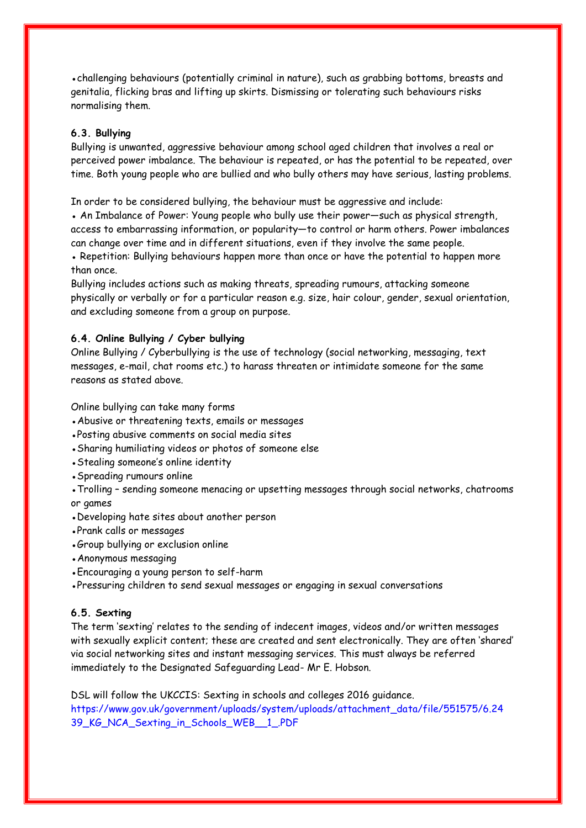• challenging behaviours (potentially criminal in nature), such as grabbing bottoms, breasts and genitalia, flicking bras and lifting up skirts. Dismissing or tolerating such behaviours risks normalising them.

## **6.3. Bullying**

Bullying is unwanted, aggressive behaviour among school aged children that involves a real or perceived power imbalance. The behaviour is repeated, or has the potential to be repeated, over time. Both young people who are bullied and who bully others may have serious, lasting problems.

In order to be considered bullying, the behaviour must be aggressive and include:

• An Imbalance of Power: Young people who bully use their power—such as physical strength, access to embarrassing information, or popularity—to control or harm others. Power imbalances can change over time and in different situations, even if they involve the same people. • Repetition: Bullying behaviours happen more than once or have the potential to happen more

than once. Bullying includes actions such as making threats, spreading rumours, attacking someone physically or verbally or for a particular reason e.g. size, hair colour, gender, sexual orientation,

#### **6.4. Online Bullying / Cyber bullying**

Online Bullying / Cyberbullying is the use of technology (social networking, messaging, text messages, e-mail, chat rooms etc.) to harass threaten or intimidate someone for the same reasons as stated above.

Online bullying can take many forms

- Abusive or threatening texts, emails or messages
- ●Posting abusive comments on social media sites

and excluding someone from a group on purpose.

- Sharing humiliating videos or photos of someone else
- Stealing someone's online identity
- Spreading rumours online

• Trolling - sending someone menacing or upsetting messages through social networks, chatrooms or games

- Developing hate sites about another person
- Prank calls or messages
- Group bullying or exclusion online
- Anonymous messaging
- Encouraging a young person to self-harm

•Pressuring children to send sexual messages or engaging in sexual conversations

#### **6.5. Sexting**

The term 'sexting' relates to the sending of indecent images, videos and/or written messages with sexually explicit content; these are created and sent electronically. They are often 'shared' via social networking sites and instant messaging services. This must always be referred immediately to the Designated Safeguarding Lead- Mr E. Hobson.

DSL will follow the UKCCIS: Sexting in schools and colleges 2016 guidance. https://www.gov.uk/government/uploads/system/uploads/attachment\_data/file/551575/6.24 39\_KG\_NCA\_Sexting\_in\_Schools\_WEB\_\_1\_.PDF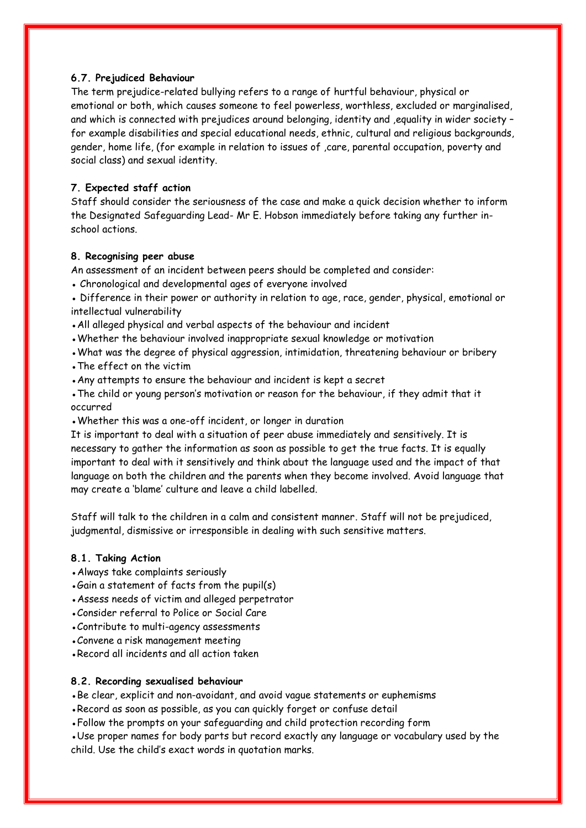## **6.7. Prejudiced Behaviour**

The term prejudice-related bullying refers to a range of hurtful behaviour, physical or emotional or both, which causes someone to feel powerless, worthless, excluded or marginalised, and which is connected with prejudices around belonging, identity and ,equality in wider society – for example disabilities and special educational needs, ethnic, cultural and religious backgrounds, gender, home life, (for example in relation to issues of ,care, parental occupation, poverty and social class) and sexual identity.

## **7. Expected staff action**

Staff should consider the seriousness of the case and make a quick decision whether to inform the Designated Safeguarding Lead- Mr E. Hobson immediately before taking any further inschool actions.

## **8. Recognising peer abuse**

An assessment of an incident between peers should be completed and consider:

• Chronological and developmental ages of everyone involved

• Difference in their power or authority in relation to age, race, gender, physical, emotional or intellectual vulnerability

- All alleged physical and verbal aspects of the behaviour and incident
- Whether the behaviour involved inappropriate sexual knowledge or motivation
- What was the degree of physical aggression, intimidation, threatening behaviour or bribery
- The effect on the victim
- Any attempts to ensure the behaviour and incident is kept a secret
- The child or young person's motivation or reason for the behaviour, if they admit that it occurred
- Whether this was a one-off incident, or longer in duration

It is important to deal with a situation of peer abuse immediately and sensitively. It is necessary to gather the information as soon as possible to get the true facts. It is equally important to deal with it sensitively and think about the language used and the impact of that language on both the children and the parents when they become involved. Avoid language that may create a 'blame' culture and leave a child labelled.

Staff will talk to the children in a calm and consistent manner. Staff will not be prejudiced, judgmental, dismissive or irresponsible in dealing with such sensitive matters.

## **8.1. Taking Action**

- Always take complaints seriously
- Gain a statement of facts from the pupil(s)
- Assess needs of victim and alleged perpetrator
- Consider referral to Police or Social Care
- Contribute to multi-agency assessments
- Convene a risk management meeting
- Record all incidents and all action taken

#### **8.2. Recording sexualised behaviour**

• Be clear, explicit and non-avoidant, and avoid vague statements or euphemisms

• Record as soon as possible, as you can quickly forget or confuse detail

• Follow the prompts on your safeguarding and child protection recording form

• Use proper names for body parts but record exactly any language or vocabulary used by the child. Use the child's exact words in quotation marks.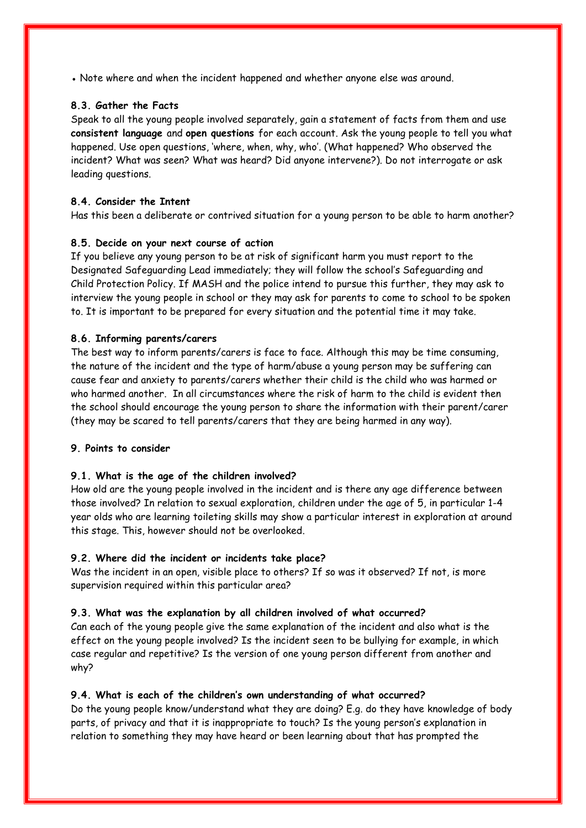• Note where and when the incident happened and whether anyone else was around.

## **8.3. Gather the Facts**

Speak to all the young people involved separately, gain a statement of facts from them and use **consistent language** and **open questions** for each account. Ask the young people to tell you what happened. Use open questions, 'where, when, why, who'. (What happened? Who observed the incident? What was seen? What was heard? Did anyone intervene?). Do not interrogate or ask leading questions.

## **8.4. Consider the Intent**

Has this been a deliberate or contrived situation for a young person to be able to harm another?

## **8.5. Decide on your next course of action**

If you believe any young person to be at risk of significant harm you must report to the Designated Safeguarding Lead immediately; they will follow the school's Safeguarding and Child Protection Policy. If MASH and the police intend to pursue this further, they may ask to interview the young people in school or they may ask for parents to come to school to be spoken to. It is important to be prepared for every situation and the potential time it may take.

## **8.6. Informing parents/carers**

The best way to inform parents/carers is face to face. Although this may be time consuming, the nature of the incident and the type of harm/abuse a young person may be suffering can cause fear and anxiety to parents/carers whether their child is the child who was harmed or who harmed another. In all circumstances where the risk of harm to the child is evident then the school should encourage the young person to share the information with their parent/carer (they may be scared to tell parents/carers that they are being harmed in any way).

## **9. Points to consider**

## **9.1. What is the age of the children involved?**

How old are the young people involved in the incident and is there any age difference between those involved? In relation to sexual exploration, children under the age of 5, in particular 1-4 year olds who are learning toileting skills may show a particular interest in exploration at around this stage. This, however should not be overlooked.

## **9.2. Where did the incident or incidents take place?**

Was the incident in an open, visible place to others? If so was it observed? If not, is more supervision required within this particular area?

## **9.3. What was the explanation by all children involved of what occurred?**

Can each of the young people give the same explanation of the incident and also what is the effect on the young people involved? Is the incident seen to be bullying for example, in which case regular and repetitive? Is the version of one young person different from another and why?

## **9.4. What is each of the children's own understanding of what occurred?**

Do the young people know/understand what they are doing? E.g. do they have knowledge of body parts, of privacy and that it is inappropriate to touch? Is the young person's explanation in relation to something they may have heard or been learning about that has prompted the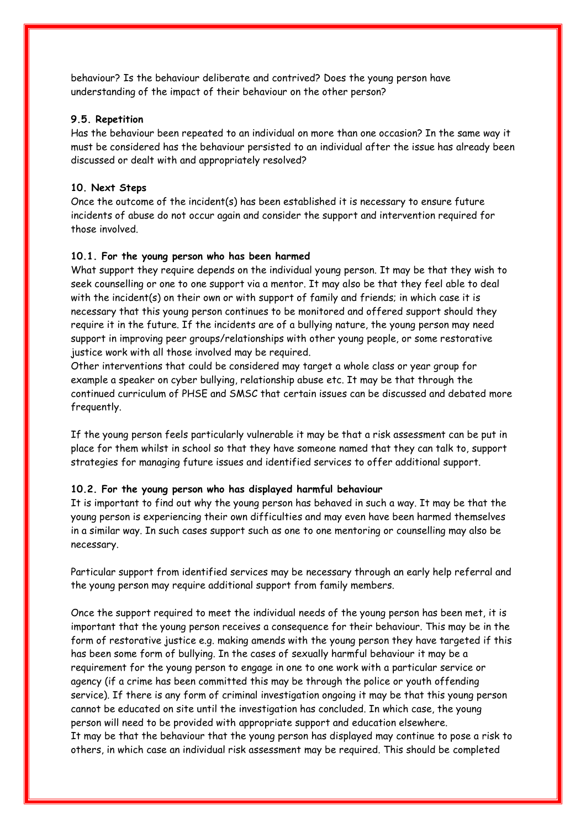behaviour? Is the behaviour deliberate and contrived? Does the young person have understanding of the impact of their behaviour on the other person?

#### **9.5. Repetition**

Has the behaviour been repeated to an individual on more than one occasion? In the same way it must be considered has the behaviour persisted to an individual after the issue has already been discussed or dealt with and appropriately resolved?

## **10. Next Steps**

Once the outcome of the incident(s) has been established it is necessary to ensure future incidents of abuse do not occur again and consider the support and intervention required for those involved.

## **10.1. For the young person who has been harmed**

What support they require depends on the individual young person. It may be that they wish to seek counselling or one to one support via a mentor. It may also be that they feel able to deal with the incident(s) on their own or with support of family and friends; in which case it is necessary that this young person continues to be monitored and offered support should they require it in the future. If the incidents are of a bullying nature, the young person may need support in improving peer groups/relationships with other young people, or some restorative justice work with all those involved may be required.

Other interventions that could be considered may target a whole class or year group for example a speaker on cyber bullying, relationship abuse etc. It may be that through the continued curriculum of PHSE and SMSC that certain issues can be discussed and debated more frequently.

If the young person feels particularly vulnerable it may be that a risk assessment can be put in place for them whilst in school so that they have someone named that they can talk to, support strategies for managing future issues and identified services to offer additional support.

## **10.2. For the young person who has displayed harmful behaviour**

It is important to find out why the young person has behaved in such a way. It may be that the young person is experiencing their own difficulties and may even have been harmed themselves in a similar way. In such cases support such as one to one mentoring or counselling may also be necessary.

Particular support from identified services may be necessary through an early help referral and the young person may require additional support from family members.

Once the support required to meet the individual needs of the young person has been met, it is important that the young person receives a consequence for their behaviour. This may be in the form of restorative justice e.g. making amends with the young person they have targeted if this has been some form of bullying. In the cases of sexually harmful behaviour it may be a requirement for the young person to engage in one to one work with a particular service or agency (if a crime has been committed this may be through the police or youth offending service). If there is any form of criminal investigation ongoing it may be that this young person cannot be educated on site until the investigation has concluded. In which case, the young person will need to be provided with appropriate support and education elsewhere. It may be that the behaviour that the young person has displayed may continue to pose a risk to others, in which case an individual risk assessment may be required. This should be completed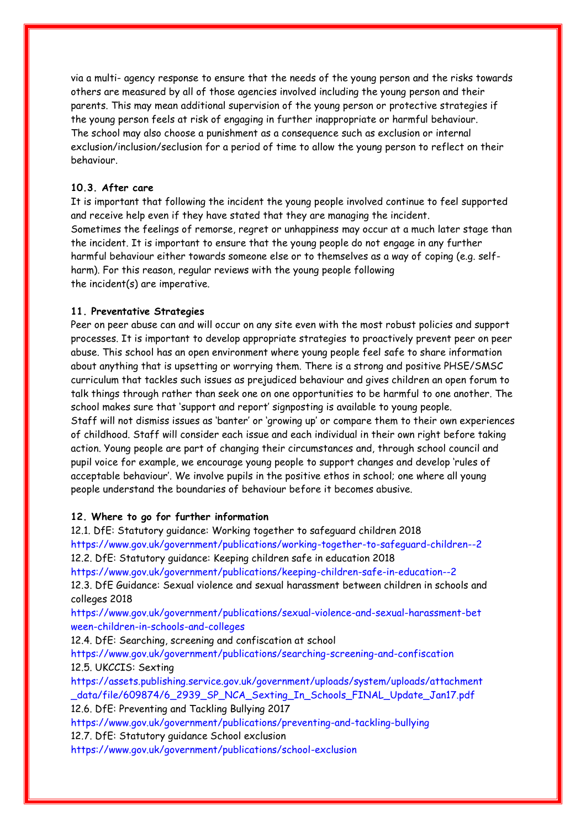via a multi- agency response to ensure that the needs of the young person and the risks towards others are measured by all of those agencies involved including the young person and their parents. This may mean additional supervision of the young person or protective strategies if the young person feels at risk of engaging in further inappropriate or harmful behaviour. The school may also choose a punishment as a consequence such as exclusion or internal exclusion/inclusion/seclusion for a period of time to allow the young person to reflect on their behaviour.

## **10.3. After care**

It is important that following the incident the young people involved continue to feel supported and receive help even if they have stated that they are managing the incident. Sometimes the feelings of remorse, regret or unhappiness may occur at a much later stage than the incident. It is important to ensure that the young people do not engage in any further harmful behaviour either towards someone else or to themselves as a way of coping (e.g. selfharm). For this reason, regular reviews with the young people following the incident(s) are imperative.

#### **11. Preventative Strategies**

Peer on peer abuse can and will occur on any site even with the most robust policies and support processes. It is important to develop appropriate strategies to proactively prevent peer on peer abuse. This school has an open environment where young people feel safe to share information about anything that is upsetting or worrying them. There is a strong and positive PHSE/SMSC curriculum that tackles such issues as prejudiced behaviour and gives children an open forum to talk things through rather than seek one on one opportunities to be harmful to one another. The school makes sure that 'support and report' signposting is available to young people. Staff will not dismiss issues as 'banter' or 'growing up' or compare them to their own experiences of childhood. Staff will consider each issue and each individual in their own right before taking action. Young people are part of changing their circumstances and, through school council and pupil voice for example, we encourage young people to support changes and develop 'rules of acceptable behaviour'. We involve pupils in the positive ethos in school; one where all young people understand the boundaries of behaviour before it becomes abusive.

#### **12. Where to go for further information**

12.1. DfE: Statutory guidance: Working together to safeguard children 2018 https://www.gov.uk/government/publications/working-together-to-safeguard-children--2 12.2. DfE: Statutory guidance: Keeping children safe in education 2018 https://www.gov.uk/government/publications/keeping-children-safe-in-education--2 12.3. DfE Guidance: Sexual violence and sexual harassment between children in schools and colleges 2018 https://www.gov.uk/government/publications/sexual-violence-and-sexual-harassment-bet ween-children-in-schools-and-colleges 12.4. DfE: Searching, screening and confiscation at school https://www.gov.uk/government/publications/searching-screening-and-confiscation 12.5. UKCCIS: Sexting https://assets.publishing.service.gov.uk/government/uploads/system/uploads/attachment data/file/609874/6\_2939\_SP\_NCA\_Sexting\_In\_Schools\_FINAL\_Update\_Jan17.pdf 12.6. DfE: Preventing and Tackling Bullying 2017 https://www.gov.uk/government/publications/preventing-and-tackling-bullying 12.7. DfE: Statutory guidance School exclusion

https://www.gov.uk/government/publications/school-exclusion